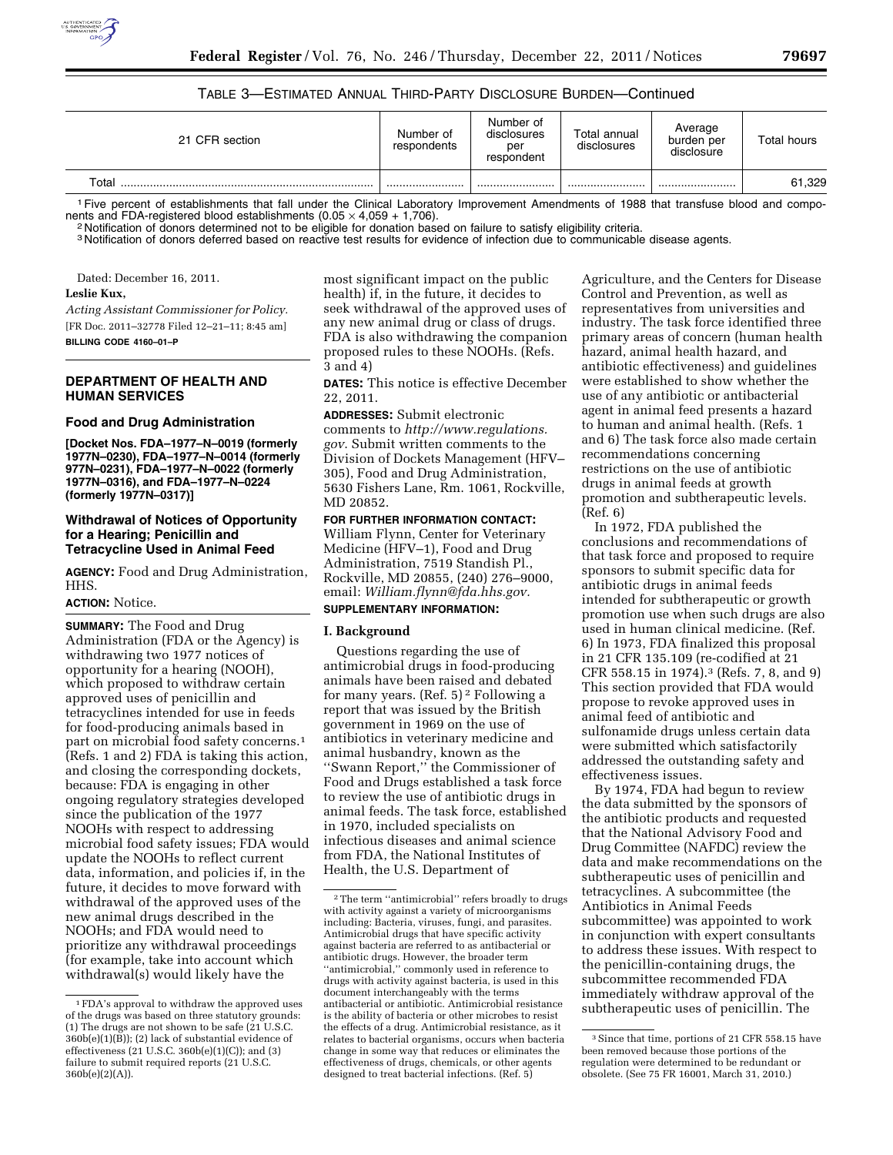# TABLE 3—ESTIMATED ANNUAL THIRD-PARTY DISCLOSURE BURDEN—Continued

| 21 CFR section | Number of<br>respondents | Number of<br>disclosures<br>per<br>respondent | Total annual<br>disclosures | Average<br>burden per<br>disclosure | Total hours |
|----------------|--------------------------|-----------------------------------------------|-----------------------------|-------------------------------------|-------------|
| $\tau$ otal    |                          |                                               |                             |                                     | 61,329      |

<sup>1</sup> Five percent of establishments that fall under the Clinical Laboratory Improvement Amendments of 1988 that transfuse blood and compo-<br>nents and FDA-registered blood establishments (0.05 × 4.059 + 1.706).

<sup>2</sup> Notification of donors determined not to be eligible for donation based on failure to satisfy eligibility criteria.

<sup>3</sup> Notification of donors deferred based on reactive test results for evidence of infection due to communicable disease agents.

Dated: December 16, 2011.

# **Leslie Kux,**

*Acting Assistant Commissioner for Policy.*  [FR Doc. 2011–32778 Filed 12–21–11; 8:45 am] **BILLING CODE 4160–01–P** 

#### **DEPARTMENT OF HEALTH AND HUMAN SERVICES**

#### **Food and Drug Administration**

**[Docket Nos. FDA–1977–N–0019 (formerly 1977N–0230), FDA–1977–N–0014 (formerly 977N–0231), FDA–1977–N–0022 (formerly 1977N–0316), and FDA–1977–N–0224 (formerly 1977N–0317)]** 

## **Withdrawal of Notices of Opportunity for a Hearing; Penicillin and Tetracycline Used in Animal Feed**

**AGENCY:** Food and Drug Administration, HHS.

# **ACTION:** Notice.

**SUMMARY:** The Food and Drug Administration (FDA or the Agency) is withdrawing two 1977 notices of opportunity for a hearing (NOOH), which proposed to withdraw certain approved uses of penicillin and tetracyclines intended for use in feeds for food-producing animals based in part on microbial food safety concerns.1 (Refs. 1 and 2) FDA is taking this action, and closing the corresponding dockets, because: FDA is engaging in other ongoing regulatory strategies developed since the publication of the 1977 NOOHs with respect to addressing microbial food safety issues; FDA would update the NOOHs to reflect current data, information, and policies if, in the future, it decides to move forward with withdrawal of the approved uses of the new animal drugs described in the NOOHs; and FDA would need to prioritize any withdrawal proceedings (for example, take into account which withdrawal(s) would likely have the

most significant impact on the public health) if, in the future, it decides to seek withdrawal of the approved uses of any new animal drug or class of drugs. FDA is also withdrawing the companion proposed rules to these NOOHs. (Refs. 3 and 4)

**DATES:** This notice is effective December 22, 2011.

**ADDRESSES:** Submit electronic comments to *[http://www.regulations.](http://www.regulations.gov) [gov](http://www.regulations.gov)*. Submit written comments to the Division of Dockets Management (HFV– 305), Food and Drug Administration, 5630 Fishers Lane, Rm. 1061, Rockville, MD 20852.

## **FOR FURTHER INFORMATION CONTACT:**  William Flynn, Center for Veterinary

Medicine (HFV–1), Food and Drug Administration, 7519 Standish Pl., Rockville, MD 20855, (240) 276–9000, email: *[William.flynn@fda.hhs.gov.](mailto:William.flynn@fda.hhs.gov)*  **SUPPLEMENTARY INFORMATION:** 

# **I. Background**

Questions regarding the use of antimicrobial drugs in food-producing animals have been raised and debated for many years. (Ref. 5) 2 Following a report that was issued by the British government in 1969 on the use of antibiotics in veterinary medicine and animal husbandry, known as the ''Swann Report,'' the Commissioner of Food and Drugs established a task force to review the use of antibiotic drugs in animal feeds. The task force, established in 1970, included specialists on infectious diseases and animal science from FDA, the National Institutes of Health, the U.S. Department of

Agriculture, and the Centers for Disease Control and Prevention, as well as representatives from universities and industry. The task force identified three primary areas of concern (human health hazard, animal health hazard, and antibiotic effectiveness) and guidelines were established to show whether the use of any antibiotic or antibacterial agent in animal feed presents a hazard to human and animal health. (Refs. 1 and 6) The task force also made certain recommendations concerning restrictions on the use of antibiotic drugs in animal feeds at growth promotion and subtherapeutic levels. (Ref. 6)

In 1972, FDA published the conclusions and recommendations of that task force and proposed to require sponsors to submit specific data for antibiotic drugs in animal feeds intended for subtherapeutic or growth promotion use when such drugs are also used in human clinical medicine. (Ref. 6) In 1973, FDA finalized this proposal in 21 CFR 135.109 (re-codified at 21 CFR 558.15 in 1974).3 (Refs. 7, 8, and 9) This section provided that FDA would propose to revoke approved uses in animal feed of antibiotic and sulfonamide drugs unless certain data were submitted which satisfactorily addressed the outstanding safety and effectiveness issues.

By 1974, FDA had begun to review the data submitted by the sponsors of the antibiotic products and requested that the National Advisory Food and Drug Committee (NAFDC) review the data and make recommendations on the subtherapeutic uses of penicillin and tetracyclines. A subcommittee (the Antibiotics in Animal Feeds subcommittee) was appointed to work in conjunction with expert consultants to address these issues. With respect to the penicillin-containing drugs, the subcommittee recommended FDA immediately withdraw approval of the subtherapeutic uses of penicillin. The

<sup>1</sup>FDA's approval to withdraw the approved uses of the drugs was based on three statutory grounds: (1) The drugs are not shown to be safe (21 U.S.C.  $360b(e)(1)(B)$ ; (2) lack of substantial evidence of effectiveness (21 U.S.C. 360b(e)(1)(C)); and (3) failure to submit required reports (21 U.S.C. 360b(e)(2)(A)).

<sup>2</sup>The term ''antimicrobial'' refers broadly to drugs with activity against a variety of microorganisms including: Bacteria, viruses, fungi, and parasites. Antimicrobial drugs that have specific activity against bacteria are referred to as antibacterial or antibiotic drugs. However, the broader term ''antimicrobial,'' commonly used in reference to drugs with activity against bacteria, is used in this document interchangeably with the terms antibacterial or antibiotic. Antimicrobial resistance is the ability of bacteria or other microbes to resist the effects of a drug. Antimicrobial resistance, as it relates to bacterial organisms, occurs when bacteria change in some way that reduces or eliminates the effectiveness of drugs, chemicals, or other agents designed to treat bacterial infections. (Ref. 5)

<sup>3</sup>Since that time, portions of 21 CFR 558.15 have been removed because those portions of the regulation were determined to be redundant or obsolete. (See 75 FR 16001, March 31, 2010.)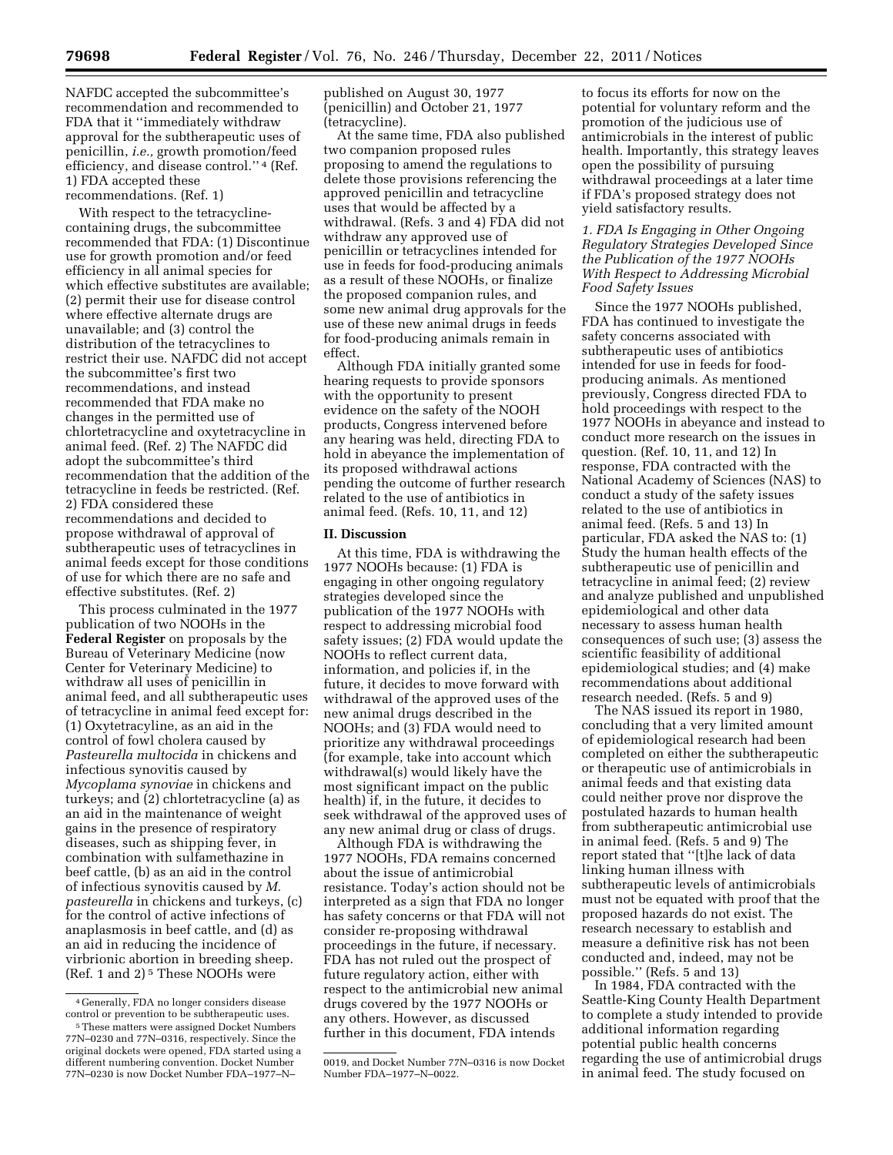NAFDC accepted the subcommittee's recommendation and recommended to FDA that it ''immediately withdraw approval for the subtherapeutic uses of penicillin, *i.e.,* growth promotion/feed efficiency, and disease control.'' 4 (Ref. 1) FDA accepted these recommendations. (Ref. 1)

With respect to the tetracyclinecontaining drugs, the subcommittee recommended that FDA: (1) Discontinue use for growth promotion and/or feed efficiency in all animal species for which effective substitutes are available; (2) permit their use for disease control where effective alternate drugs are unavailable; and (3) control the distribution of the tetracyclines to restrict their use. NAFDC did not accept the subcommittee's first two recommendations, and instead recommended that FDA make no changes in the permitted use of chlortetracycline and oxytetracycline in animal feed. (Ref. 2) The NAFDC did adopt the subcommittee's third recommendation that the addition of the tetracycline in feeds be restricted. (Ref. 2) FDA considered these recommendations and decided to propose withdrawal of approval of subtherapeutic uses of tetracyclines in animal feeds except for those conditions of use for which there are no safe and effective substitutes. (Ref. 2)

This process culminated in the 1977 publication of two NOOHs in the **Federal Register** on proposals by the Bureau of Veterinary Medicine (now Center for Veterinary Medicine) to withdraw all uses of penicillin in animal feed, and all subtherapeutic uses of tetracycline in animal feed except for: (1) Oxytetracyline, as an aid in the control of fowl cholera caused by *Pasteurella multocida* in chickens and infectious synovitis caused by *Mycoplama synoviae* in chickens and turkeys; and (2) chlortetracycline (a) as an aid in the maintenance of weight gains in the presence of respiratory diseases, such as shipping fever, in combination with sulfamethazine in beef cattle, (b) as an aid in the control of infectious synovitis caused by *M. pasteurella* in chickens and turkeys, (c) for the control of active infections of anaplasmosis in beef cattle, and (d) as an aid in reducing the incidence of virbrionic abortion in breeding sheep. (Ref. 1 and 2) 5 These NOOHs were

published on August 30, 1977 (penicillin) and October 21, 1977 (tetracycline).

At the same time, FDA also published two companion proposed rules proposing to amend the regulations to delete those provisions referencing the approved penicillin and tetracycline uses that would be affected by a withdrawal. (Refs. 3 and 4) FDA did not withdraw any approved use of penicillin or tetracyclines intended for use in feeds for food-producing animals as a result of these NOOHs, or finalize the proposed companion rules, and some new animal drug approvals for the use of these new animal drugs in feeds for food-producing animals remain in effect.

Although FDA initially granted some hearing requests to provide sponsors with the opportunity to present evidence on the safety of the NOOH products, Congress intervened before any hearing was held, directing FDA to hold in abeyance the implementation of its proposed withdrawal actions pending the outcome of further research related to the use of antibiotics in animal feed. (Refs. 10, 11, and 12)

#### **II. Discussion**

At this time, FDA is withdrawing the 1977 NOOHs because: (1) FDA is engaging in other ongoing regulatory strategies developed since the publication of the 1977 NOOHs with respect to addressing microbial food safety issues; (2) FDA would update the NOOHs to reflect current data, information, and policies if, in the future, it decides to move forward with withdrawal of the approved uses of the new animal drugs described in the NOOHs; and (3) FDA would need to prioritize any withdrawal proceedings (for example, take into account which withdrawal(s) would likely have the most significant impact on the public health) if, in the future, it decides to seek withdrawal of the approved uses of any new animal drug or class of drugs.

Although FDA is withdrawing the 1977 NOOHs, FDA remains concerned about the issue of antimicrobial resistance. Today's action should not be interpreted as a sign that FDA no longer has safety concerns or that FDA will not consider re-proposing withdrawal proceedings in the future, if necessary. FDA has not ruled out the prospect of future regulatory action, either with respect to the antimicrobial new animal drugs covered by the 1977 NOOHs or any others. However, as discussed further in this document, FDA intends

to focus its efforts for now on the potential for voluntary reform and the promotion of the judicious use of antimicrobials in the interest of public health. Importantly, this strategy leaves open the possibility of pursuing withdrawal proceedings at a later time if FDA's proposed strategy does not yield satisfactory results.

## *1. FDA Is Engaging in Other Ongoing Regulatory Strategies Developed Since the Publication of the 1977 NOOHs With Respect to Addressing Microbial Food Safety Issues*

Since the 1977 NOOHs published, FDA has continued to investigate the safety concerns associated with subtherapeutic uses of antibiotics intended for use in feeds for foodproducing animals. As mentioned previously, Congress directed FDA to hold proceedings with respect to the 1977 NOOHs in abeyance and instead to conduct more research on the issues in question. (Ref. 10, 11, and 12) In response, FDA contracted with the National Academy of Sciences (NAS) to conduct a study of the safety issues related to the use of antibiotics in animal feed. (Refs. 5 and 13) In particular, FDA asked the NAS to: (1) Study the human health effects of the subtherapeutic use of penicillin and tetracycline in animal feed; (2) review and analyze published and unpublished epidemiological and other data necessary to assess human health consequences of such use; (3) assess the scientific feasibility of additional epidemiological studies; and (4) make recommendations about additional research needed. (Refs. 5 and 9)

The NAS issued its report in 1980, concluding that a very limited amount of epidemiological research had been completed on either the subtherapeutic or therapeutic use of antimicrobials in animal feeds and that existing data could neither prove nor disprove the postulated hazards to human health from subtherapeutic antimicrobial use in animal feed. (Refs. 5 and 9) The report stated that ''[t]he lack of data linking human illness with subtherapeutic levels of antimicrobials must not be equated with proof that the proposed hazards do not exist. The research necessary to establish and measure a definitive risk has not been conducted and, indeed, may not be possible.'' (Refs. 5 and 13)

In 1984, FDA contracted with the Seattle-King County Health Department to complete a study intended to provide additional information regarding potential public health concerns regarding the use of antimicrobial drugs in animal feed. The study focused on

<sup>4</sup> Generally, FDA no longer considers disease control or prevention to be subtherapeutic uses.

<sup>5</sup>These matters were assigned Docket Numbers 77N–0230 and 77N–0316, respectively. Since the original dockets were opened, FDA started using a different numbering convention. Docket Number 77N–0230 is now Docket Number FDA–1977–N–

<sup>0019,</sup> and Docket Number 77N–0316 is now Docket Number FDA–1977–N–0022.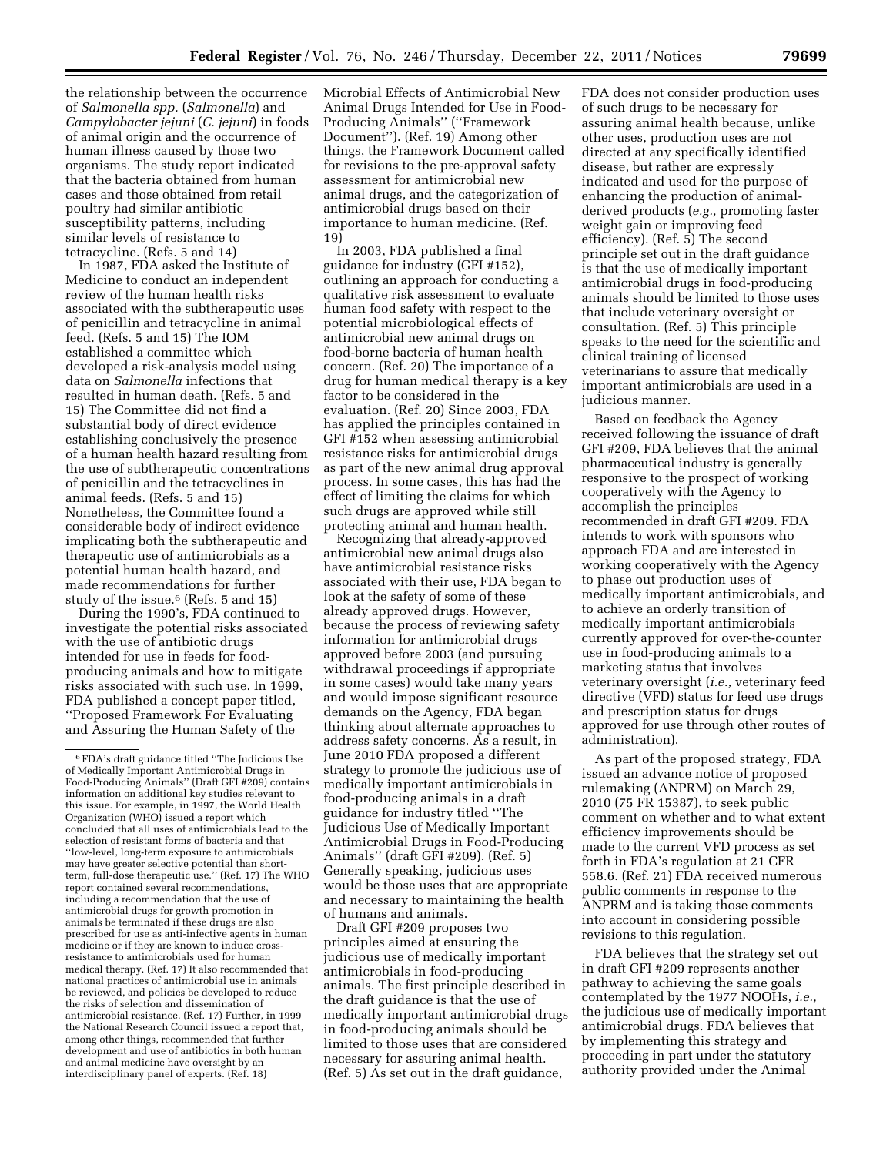the relationship between the occurrence of *Salmonella spp.* (*Salmonella*) and *Campylobacter jejuni* (*C. jejuni*) in foods of animal origin and the occurrence of human illness caused by those two organisms. The study report indicated that the bacteria obtained from human cases and those obtained from retail poultry had similar antibiotic susceptibility patterns, including similar levels of resistance to tetracycline. (Refs. 5 and 14)

In 1987, FDA asked the Institute of Medicine to conduct an independent review of the human health risks associated with the subtherapeutic uses of penicillin and tetracycline in animal feed. (Refs. 5 and 15) The IOM established a committee which developed a risk-analysis model using data on *Salmonella* infections that resulted in human death. (Refs. 5 and 15) The Committee did not find a substantial body of direct evidence establishing conclusively the presence of a human health hazard resulting from the use of subtherapeutic concentrations of penicillin and the tetracyclines in animal feeds. (Refs. 5 and 15) Nonetheless, the Committee found a considerable body of indirect evidence implicating both the subtherapeutic and therapeutic use of antimicrobials as a potential human health hazard, and made recommendations for further study of the issue.6 (Refs. 5 and 15)

During the 1990's, FDA continued to investigate the potential risks associated with the use of antibiotic drugs intended for use in feeds for foodproducing animals and how to mitigate risks associated with such use. In 1999, FDA published a concept paper titled, ''Proposed Framework For Evaluating and Assuring the Human Safety of the

Microbial Effects of Antimicrobial New Animal Drugs Intended for Use in Food-Producing Animals'' (''Framework Document''). (Ref. 19) Among other things, the Framework Document called for revisions to the pre-approval safety assessment for antimicrobial new animal drugs, and the categorization of antimicrobial drugs based on their importance to human medicine. (Ref. 19)

In 2003, FDA published a final guidance for industry (GFI #152), outlining an approach for conducting a qualitative risk assessment to evaluate human food safety with respect to the potential microbiological effects of antimicrobial new animal drugs on food-borne bacteria of human health concern. (Ref. 20) The importance of a drug for human medical therapy is a key factor to be considered in the evaluation. (Ref. 20) Since 2003, FDA has applied the principles contained in GFI #152 when assessing antimicrobial resistance risks for antimicrobial drugs as part of the new animal drug approval process. In some cases, this has had the effect of limiting the claims for which such drugs are approved while still protecting animal and human health.

Recognizing that already-approved antimicrobial new animal drugs also have antimicrobial resistance risks associated with their use, FDA began to look at the safety of some of these already approved drugs. However, because the process of reviewing safety information for antimicrobial drugs approved before 2003 (and pursuing withdrawal proceedings if appropriate in some cases) would take many years and would impose significant resource demands on the Agency, FDA began thinking about alternate approaches to address safety concerns. As a result, in June 2010 FDA proposed a different strategy to promote the judicious use of medically important antimicrobials in food-producing animals in a draft guidance for industry titled ''The Judicious Use of Medically Important Antimicrobial Drugs in Food-Producing Animals'' (draft GFI #209). (Ref. 5) Generally speaking, judicious uses would be those uses that are appropriate and necessary to maintaining the health of humans and animals.

Draft GFI #209 proposes two principles aimed at ensuring the judicious use of medically important antimicrobials in food-producing animals. The first principle described in the draft guidance is that the use of medically important antimicrobial drugs in food-producing animals should be limited to those uses that are considered necessary for assuring animal health. (Ref. 5) As set out in the draft guidance,

FDA does not consider production uses of such drugs to be necessary for assuring animal health because, unlike other uses, production uses are not directed at any specifically identified disease, but rather are expressly indicated and used for the purpose of enhancing the production of animalderived products (*e.g.,* promoting faster weight gain or improving feed efficiency). (Ref. 5) The second principle set out in the draft guidance is that the use of medically important antimicrobial drugs in food-producing animals should be limited to those uses that include veterinary oversight or consultation. (Ref. 5) This principle speaks to the need for the scientific and clinical training of licensed veterinarians to assure that medically important antimicrobials are used in a judicious manner.

Based on feedback the Agency received following the issuance of draft GFI #209, FDA believes that the animal pharmaceutical industry is generally responsive to the prospect of working cooperatively with the Agency to accomplish the principles recommended in draft GFI #209. FDA intends to work with sponsors who approach FDA and are interested in working cooperatively with the Agency to phase out production uses of medically important antimicrobials, and to achieve an orderly transition of medically important antimicrobials currently approved for over-the-counter use in food-producing animals to a marketing status that involves veterinary oversight (*i.e.,* veterinary feed directive (VFD) status for feed use drugs and prescription status for drugs approved for use through other routes of administration).

As part of the proposed strategy, FDA issued an advance notice of proposed rulemaking (ANPRM) on March 29, 2010 (75 FR 15387), to seek public comment on whether and to what extent efficiency improvements should be made to the current VFD process as set forth in FDA's regulation at 21 CFR 558.6. (Ref. 21) FDA received numerous public comments in response to the ANPRM and is taking those comments into account in considering possible revisions to this regulation.

FDA believes that the strategy set out in draft GFI #209 represents another pathway to achieving the same goals contemplated by the 1977 NOOHs, *i.e.,*  the judicious use of medically important antimicrobial drugs. FDA believes that by implementing this strategy and proceeding in part under the statutory authority provided under the Animal

<sup>6</sup>FDA's draft guidance titled ''The Judicious Use of Medically Important Antimicrobial Drugs in Food-Producing Animals'' (Draft GFI #209) contains information on additional key studies relevant to this issue. For example, in 1997, the World Health Organization (WHO) issued a report which concluded that all uses of antimicrobials lead to the selection of resistant forms of bacteria and that ''low-level, long-term exposure to antimicrobials may have greater selective potential than shortterm, full-dose therapeutic use.'' (Ref. 17) The WHO report contained several recommendations, including a recommendation that the use of antimicrobial drugs for growth promotion in animals be terminated if these drugs are also prescribed for use as anti-infective agents in human medicine or if they are known to induce crossresistance to antimicrobials used for human medical therapy. (Ref. 17) It also recommended that national practices of antimicrobial use in animals be reviewed, and policies be developed to reduce the risks of selection and dissemination of antimicrobial resistance. (Ref. 17) Further, in 1999 the National Research Council issued a report that, among other things, recommended that further development and use of antibiotics in both human and animal medicine have oversight by an interdisciplinary panel of experts. (Ref. 18)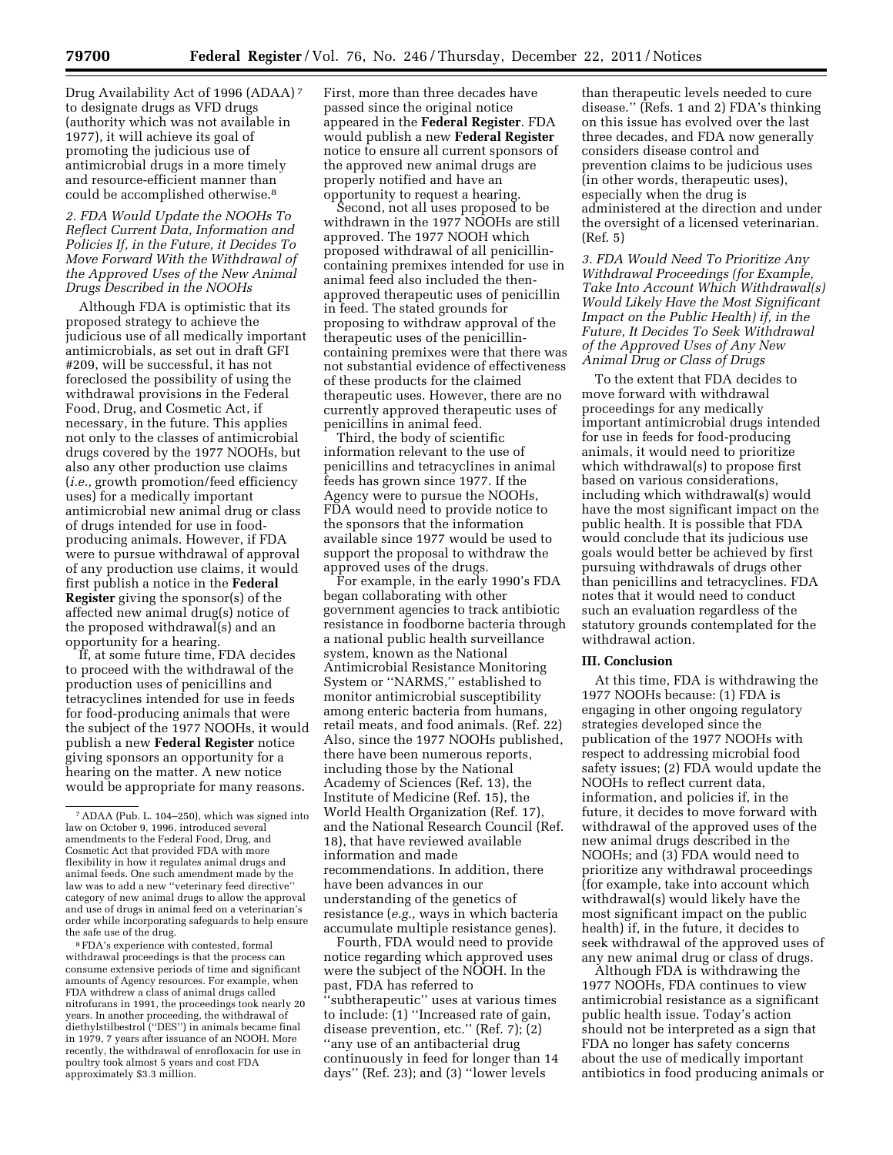Drug Availability Act of 1996 (ADAA) 7 to designate drugs as VFD drugs (authority which was not available in 1977), it will achieve its goal of promoting the judicious use of antimicrobial drugs in a more timely and resource-efficient manner than could be accomplished otherwise.8

*2. FDA Would Update the NOOHs To Reflect Current Data, Information and Policies If, in the Future, it Decides To Move Forward With the Withdrawal of the Approved Uses of the New Animal Drugs Described in the NOOHs* 

Although FDA is optimistic that its proposed strategy to achieve the judicious use of all medically important antimicrobials, as set out in draft GFI #209, will be successful, it has not foreclosed the possibility of using the withdrawal provisions in the Federal Food, Drug, and Cosmetic Act, if necessary, in the future. This applies not only to the classes of antimicrobial drugs covered by the 1977 NOOHs, but also any other production use claims (*i.e.,* growth promotion/feed efficiency uses) for a medically important antimicrobial new animal drug or class of drugs intended for use in foodproducing animals. However, if FDA were to pursue withdrawal of approval of any production use claims, it would first publish a notice in the **Federal Register** giving the sponsor(s) of the affected new animal drug(s) notice of the proposed withdrawal(s) and an opportunity for a hearing.

If, at some future time, FDA decides to proceed with the withdrawal of the production uses of penicillins and tetracyclines intended for use in feeds for food-producing animals that were the subject of the 1977 NOOHs, it would publish a new **Federal Register** notice giving sponsors an opportunity for a hearing on the matter. A new notice would be appropriate for many reasons.

8FDA's experience with contested, formal withdrawal proceedings is that the process can consume extensive periods of time and significant amounts of Agency resources. For example, when FDA withdrew a class of animal drugs called nitrofurans in 1991, the proceedings took nearly 20 years. In another proceeding, the withdrawal of diethylstilbestrol (''DES'') in animals became final in 1979, 7 years after issuance of an NOOH. More recently, the withdrawal of enrofloxacin for use in poultry took almost 5 years and cost FDA approximately \$3.3 million.

First, more than three decades have passed since the original notice appeared in the **Federal Register**. FDA would publish a new **Federal Register**  notice to ensure all current sponsors of the approved new animal drugs are properly notified and have an opportunity to request a hearing.

Second, not all uses proposed to be withdrawn in the 1977 NOOHs are still approved. The 1977 NOOH which proposed withdrawal of all penicillincontaining premixes intended for use in animal feed also included the thenapproved therapeutic uses of penicillin in feed. The stated grounds for proposing to withdraw approval of the therapeutic uses of the penicillincontaining premixes were that there was not substantial evidence of effectiveness of these products for the claimed therapeutic uses. However, there are no currently approved therapeutic uses of penicillins in animal feed.

Third, the body of scientific information relevant to the use of penicillins and tetracyclines in animal feeds has grown since 1977. If the Agency were to pursue the NOOHs, FDA would need to provide notice to the sponsors that the information available since 1977 would be used to support the proposal to withdraw the approved uses of the drugs.

For example, in the early 1990's FDA began collaborating with other government agencies to track antibiotic resistance in foodborne bacteria through a national public health surveillance system, known as the National Antimicrobial Resistance Monitoring System or ''NARMS,'' established to monitor antimicrobial susceptibility among enteric bacteria from humans, retail meats, and food animals. (Ref. 22) Also, since the 1977 NOOHs published, there have been numerous reports, including those by the National Academy of Sciences (Ref. 13), the Institute of Medicine (Ref. 15), the World Health Organization (Ref. 17), and the National Research Council (Ref. 18), that have reviewed available information and made recommendations. In addition, there have been advances in our understanding of the genetics of resistance (*e.g.,* ways in which bacteria accumulate multiple resistance genes).

Fourth, FDA would need to provide notice regarding which approved uses were the subject of the NOOH. In the past, FDA has referred to 'subtherapeutic'' uses at various times to include: (1) ''Increased rate of gain, disease prevention, etc."  $(Ref. 7)$ ;  $(2)$ ''any use of an antibacterial drug continuously in feed for longer than 14 days'' (Ref. 23); and (3) ''lower levels

than therapeutic levels needed to cure disease.'' (Refs. 1 and 2) FDA's thinking on this issue has evolved over the last three decades, and FDA now generally considers disease control and prevention claims to be judicious uses (in other words, therapeutic uses), especially when the drug is administered at the direction and under the oversight of a licensed veterinarian. (Ref. 5)

*3. FDA Would Need To Prioritize Any Withdrawal Proceedings (for Example, Take Into Account Which Withdrawal(s) Would Likely Have the Most Significant Impact on the Public Health) if, in the Future, It Decides To Seek Withdrawal of the Approved Uses of Any New Animal Drug or Class of Drugs* 

To the extent that FDA decides to move forward with withdrawal proceedings for any medically important antimicrobial drugs intended for use in feeds for food-producing animals, it would need to prioritize which withdrawal(s) to propose first based on various considerations, including which withdrawal(s) would have the most significant impact on the public health. It is possible that FDA would conclude that its judicious use goals would better be achieved by first pursuing withdrawals of drugs other than penicillins and tetracyclines. FDA notes that it would need to conduct such an evaluation regardless of the statutory grounds contemplated for the withdrawal action.

#### **III. Conclusion**

At this time, FDA is withdrawing the 1977 NOOHs because: (1) FDA is engaging in other ongoing regulatory strategies developed since the publication of the 1977 NOOHs with respect to addressing microbial food safety issues; (2) FDA would update the NOOHs to reflect current data, information, and policies if, in the future, it decides to move forward with withdrawal of the approved uses of the new animal drugs described in the NOOHs; and (3) FDA would need to prioritize any withdrawal proceedings (for example, take into account which withdrawal(s) would likely have the most significant impact on the public health) if, in the future, it decides to seek withdrawal of the approved uses of any new animal drug or class of drugs.

Although FDA is withdrawing the 1977 NOOHs, FDA continues to view antimicrobial resistance as a significant public health issue. Today's action should not be interpreted as a sign that FDA no longer has safety concerns about the use of medically important antibiotics in food producing animals or

<sup>7</sup>ADAA (Pub. L. 104–250), which was signed into law on October 9, 1996, introduced several amendments to the Federal Food, Drug, and Cosmetic Act that provided FDA with more flexibility in how it regulates animal drugs and animal feeds. One such amendment made by the law was to add a new ''veterinary feed directive'' category of new animal drugs to allow the approval and use of drugs in animal feed on a veterinarian's order while incorporating safeguards to help ensure the safe use of the drug.